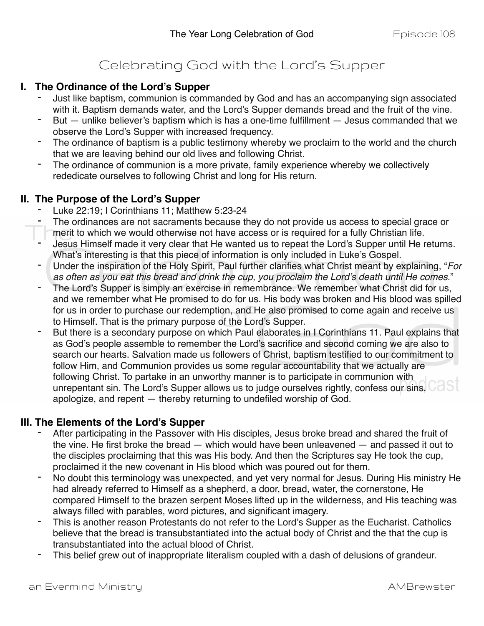# Celebrating God with the Lord's Supper

#### **I. The Ordinance of the Lord's Supper**

- Just like baptism, communion is commanded by God and has an accompanying sign associated with it. Baptism demands water, and the Lord's Supper demands bread and the fruit of the vine.
- But  $-$  unlike believer's baptism which is has a one-time fulfillment  $-$  Jesus commanded that we observe the Lord's Supper with increased frequency.
- The ordinance of baptism is a public testimony whereby we proclaim to the world and the church that we are leaving behind our old lives and following Christ.
- The ordinance of communion is a more private, family experience whereby we collectively rededicate ourselves to following Christ and long for His return.

#### **II. The Purpose of the Lord's Supper**

- Luke 22:19; I Corinthians 11; Matthew 5:23-24
- The ordinances are not sacraments because they do not provide us access to special grace or merit to which we would otherwise not have access or is required for a fully Christian life.
- Jesus Himself made it very clear that He wanted us to repeat the Lord's Supper until He returns. What's interesting is that this piece of information is only included in Luke's Gospel.
- Under the inspiration of the Holy Spirit, Paul further clarifies what Christ meant by explaining, "*For as often as you eat this bread and drink the cup, you proclaim the Lord's death until He comes*."
- The Lord's Supper is simply an exercise in remembrance. We remember what Christ did for us, and we remember what He promised to do for us. His body was broken and His blood was spilled for us in order to purchase our redemption, and He also promised to come again and receive us to Himself. That is the primary purpose of the Lord's Supper.
- But there is a secondary purpose on which Paul elaborates in I Corinthians 11. Paul explains that as God's people assemble to remember the Lord's sacrifice and second coming we are also to search our hearts. Salvation made us followers of Christ, baptism testified to our commitment to follow Him, and Communion provides us some regular accountability that we actually are following Christ. To partake in an unworthy manner is to participate in communion with unrepentant sin. The Lord's Supper allows us to judge ourselves rightly, confess our sins, CaSI apologize, and repent — thereby returning to undefiled worship of God.

#### **III. The Elements of the Lord's Supper**

- After participating in the Passover with His disciples, Jesus broke bread and shared the fruit of the vine. He first broke the bread — which would have been unleavened — and passed it out to the disciples proclaiming that this was His body. And then the Scriptures say He took the cup, proclaimed it the new covenant in His blood which was poured out for them.
- No doubt this terminology was unexpected, and yet very normal for Jesus. During His ministry He had already referred to Himself as a shepherd, a door, bread, water, the cornerstone, He compared Himself to the brazen serpent Moses lifted up in the wilderness, and His teaching was always filled with parables, word pictures, and significant imagery.
- This is another reason Protestants do not refer to the Lord's Supper as the Eucharist. Catholics believe that the bread is transubstantiated into the actual body of Christ and the that the cup is transubstantiated into the actual blood of Christ.
- This belief grew out of inappropriate literalism coupled with a dash of delusions of grandeur.